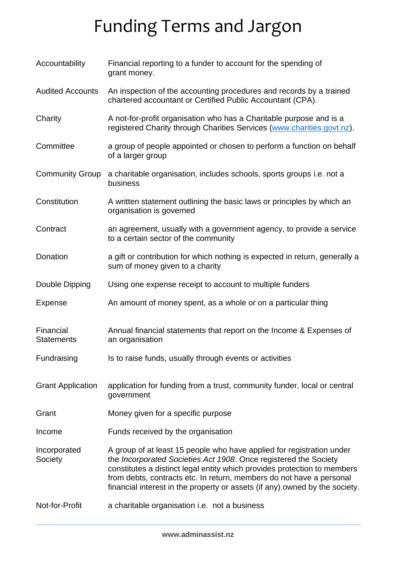## Funding Terms and Jargon

| Accountability                 | Financial reporting to a funder to account for the spending of<br>grant money.                                                                                                                                                                                                                                                                                               |
|--------------------------------|------------------------------------------------------------------------------------------------------------------------------------------------------------------------------------------------------------------------------------------------------------------------------------------------------------------------------------------------------------------------------|
| <b>Audited Accounts</b>        | An inspection of the accounting procedures and records by a trained<br>chartered accountant or Certified Public Accountant (CPA).                                                                                                                                                                                                                                            |
| Charity                        | A not-for-profit organisation who has a Charitable purpose and is a<br>registered Charity through Charities Services (www.charities.govt.nz).                                                                                                                                                                                                                                |
| Committee                      | a group of people appointed or chosen to perform a function on behalf<br>of a larger group                                                                                                                                                                                                                                                                                   |
| <b>Community Group</b>         | a charitable organisation, includes schools, sports groups i.e. not a<br>business                                                                                                                                                                                                                                                                                            |
| Constitution                   | A written statement outlining the basic laws or principles by which an<br>organisation is governed                                                                                                                                                                                                                                                                           |
| Contract                       | an agreement, usually with a government agency, to provide a service<br>to a certain sector of the community                                                                                                                                                                                                                                                                 |
| Donation                       | a gift or contribution for which nothing is expected in return, generally a<br>sum of money given to a charity                                                                                                                                                                                                                                                               |
| Double Dipping                 | Using one expense receipt to account to multiple funders                                                                                                                                                                                                                                                                                                                     |
| Expense                        | An amount of money spent, as a whole or on a particular thing                                                                                                                                                                                                                                                                                                                |
| Financial<br><b>Statements</b> | Annual financial statements that report on the Income & Expenses of<br>an organisation                                                                                                                                                                                                                                                                                       |
| Fundraising                    | Is to raise funds, usually through events or activities                                                                                                                                                                                                                                                                                                                      |
| <b>Grant Application</b>       | application for funding from a trust, community funder, local or central<br>government                                                                                                                                                                                                                                                                                       |
| Grant                          | Money given for a specific purpose                                                                                                                                                                                                                                                                                                                                           |
| Income                         | Funds received by the organisation                                                                                                                                                                                                                                                                                                                                           |
| Incorporated<br>Society        | A group of at least 15 people who have applied for registration under<br>the Incorporated Societies Act 1908. Once registered the Society<br>constitutes a distinct legal entity which provides protection to members<br>from debts, contracts etc. In return, members do not have a personal<br>financial interest in the property or assets (if any) owned by the society. |
| Not-for-Profit                 | a charitable organisation i.e. not a business                                                                                                                                                                                                                                                                                                                                |